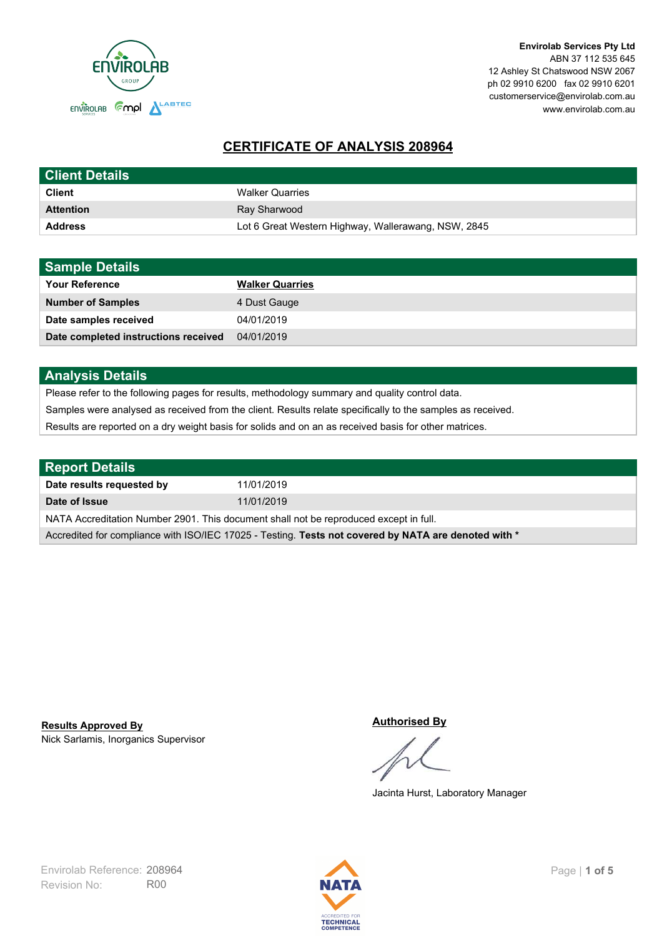

# **CERTIFICATE OF ANALYSIS 208964**

| <b>Client Details</b> |                                                     |
|-----------------------|-----------------------------------------------------|
| <b>Client</b>         | <b>Walker Quarries</b>                              |
| <b>Attention</b>      | Ray Sharwood                                        |
| <b>Address</b>        | Lot 6 Great Western Highway, Wallerawang, NSW, 2845 |

| <b>Sample Details</b>                |                        |
|--------------------------------------|------------------------|
| <b>Your Reference</b>                | <b>Walker Quarries</b> |
| <b>Number of Samples</b>             | 4 Dust Gauge           |
| Date samples received                | 04/01/2019             |
| Date completed instructions received | 04/01/2019             |

## **Analysis Details**

Please refer to the following pages for results, methodology summary and quality control data.

Samples were analysed as received from the client. Results relate specifically to the samples as received.

Results are reported on a dry weight basis for solids and on an as received basis for other matrices.

| <b>Report Details</b>                                                                                |            |  |
|------------------------------------------------------------------------------------------------------|------------|--|
| Date results requested by                                                                            | 11/01/2019 |  |
| Date of Issue                                                                                        | 11/01/2019 |  |
| NATA Accreditation Number 2901. This document shall not be reproduced except in full.                |            |  |
| Accredited for compliance with ISO/IEC 17025 - Testing. Tests not covered by NATA are denoted with * |            |  |

Nick Sarlamis, Inorganics Supervisor **Results Approved By**

#### **Authorised By**

Jacinta Hurst, Laboratory Manager

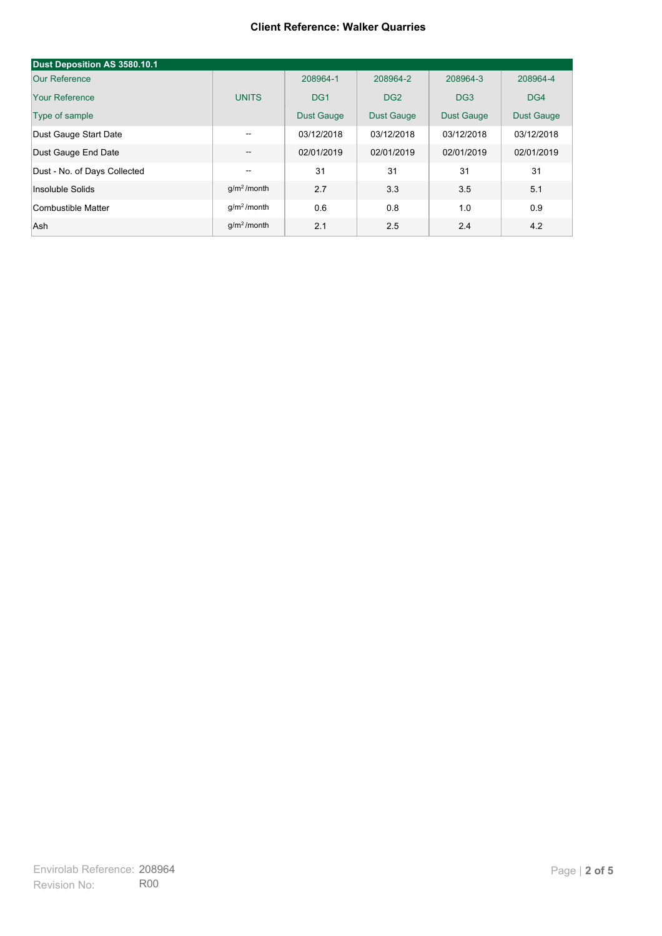### **Client Reference: Walker Quarries**

| Dust Deposition AS 3580.10.1 |               |                   |                   |                   |                   |
|------------------------------|---------------|-------------------|-------------------|-------------------|-------------------|
| Our Reference                |               | 208964-1          | 208964-2          | 208964-3          | 208964-4          |
| Your Reference               | <b>UNITS</b>  | DG <sub>1</sub>   | DG <sub>2</sub>   | DG <sub>3</sub>   | DG4               |
| Type of sample               |               | <b>Dust Gauge</b> | <b>Dust Gauge</b> | <b>Dust Gauge</b> | <b>Dust Gauge</b> |
| Dust Gauge Start Date        | $- -$         | 03/12/2018        | 03/12/2018        | 03/12/2018        | 03/12/2018        |
| Dust Gauge End Date          | --            | 02/01/2019        | 02/01/2019        | 02/01/2019        | 02/01/2019        |
| Dust - No. of Days Collected | --            | 31                | 31                | 31                | 31                |
| Insoluble Solids             | $q/m2$ /month | 2.7               | 3.3               | 3.5               | 5.1               |
| Combustible Matter           | $q/m2$ /month | 0.6               | 0.8               | 1.0               | 0.9               |
| Ash                          | $q/m2$ /month | 2.1               | 2.5               | 2.4               | 4.2               |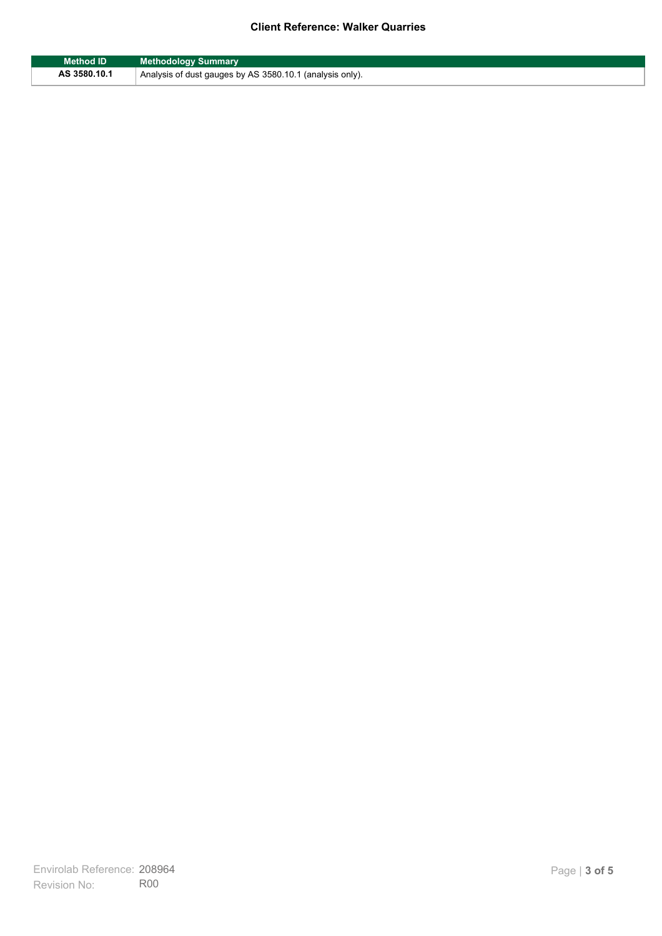## **Client Reference: Walker Quarries**

| <b>Method ID</b> | <b>Methodology Summary</b>                               |
|------------------|----------------------------------------------------------|
| AS 3580.10.1     | Analysis of dust gauges by AS 3580.10.1 (analysis only). |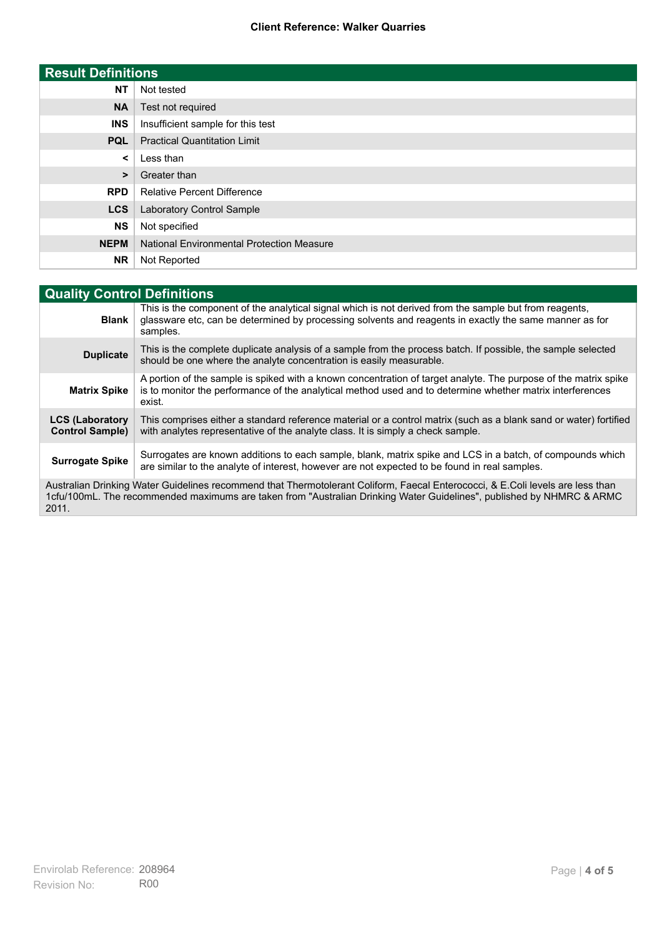## **Client Reference: Walker Quarries**

| <b>Result Definitions</b> |                                                  |
|---------------------------|--------------------------------------------------|
| <b>NT</b>                 | Not tested                                       |
| <b>NA</b>                 | Test not required                                |
| <b>INS</b>                | Insufficient sample for this test                |
| <b>PQL</b>                | <b>Practical Quantitation Limit</b>              |
| ≺                         | Less than                                        |
| >                         | Greater than                                     |
| <b>RPD</b>                | <b>Relative Percent Difference</b>               |
| <b>LCS</b>                | Laboratory Control Sample                        |
| <b>NS</b>                 | Not specified                                    |
| <b>NEPM</b>               | <b>National Environmental Protection Measure</b> |
| <b>NR</b>                 | Not Reported                                     |

| <b>Quality Control Definitions</b>                                                                                                                                                                                                                      |                                                                                                                                                                                                                                        |  |
|---------------------------------------------------------------------------------------------------------------------------------------------------------------------------------------------------------------------------------------------------------|----------------------------------------------------------------------------------------------------------------------------------------------------------------------------------------------------------------------------------------|--|
| <b>Blank</b>                                                                                                                                                                                                                                            | This is the component of the analytical signal which is not derived from the sample but from reagents,<br>glassware etc, can be determined by processing solvents and reagents in exactly the same manner as for<br>samples.           |  |
| <b>Duplicate</b>                                                                                                                                                                                                                                        | This is the complete duplicate analysis of a sample from the process batch. If possible, the sample selected<br>should be one where the analyte concentration is easily measurable.                                                    |  |
| <b>Matrix Spike</b>                                                                                                                                                                                                                                     | A portion of the sample is spiked with a known concentration of target analyte. The purpose of the matrix spike<br>is to monitor the performance of the analytical method used and to determine whether matrix interferences<br>exist. |  |
| <b>LCS (Laboratory</b><br><b>Control Sample)</b>                                                                                                                                                                                                        | This comprises either a standard reference material or a control matrix (such as a blank sand or water) fortified<br>with analytes representative of the analyte class. It is simply a check sample.                                   |  |
| <b>Surrogate Spike</b>                                                                                                                                                                                                                                  | Surrogates are known additions to each sample, blank, matrix spike and LCS in a batch, of compounds which<br>are similar to the analyte of interest, however are not expected to be found in real samples.                             |  |
| Australian Drinking Water Guidelines recommend that Thermotolerant Coliform, Faecal Enterococci, & E.Coli levels are less than<br>1cfu/100mL. The recommended maximums are taken from "Australian Drinking Water Guidelines", published by NHMRC & ARMC |                                                                                                                                                                                                                                        |  |

2011.